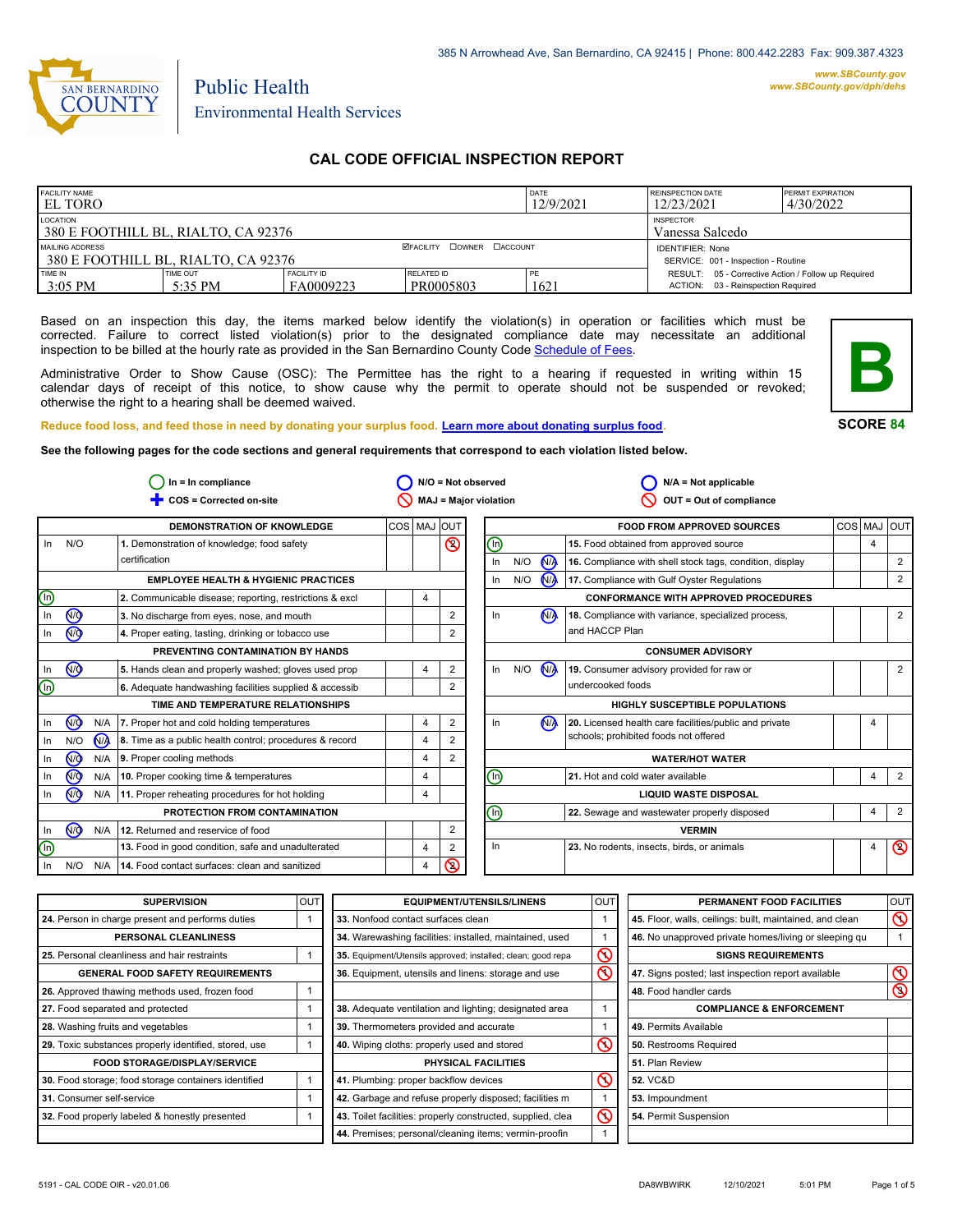

# Public Health Environmental Health Services

# **CAL CODE OFFICIAL INSPECTION REPORT**

| <b>FACILITY NAME</b><br><b>LEL TORO</b>                                                |                     |                                 |                                  | DATE<br>12/9/2021                                              | <b>REINSPECTION DATE</b><br>12/23/2021                                                    | <b>PERMIT EXPIRATION</b><br>4/30/2022 |
|----------------------------------------------------------------------------------------|---------------------|---------------------------------|----------------------------------|----------------------------------------------------------------|-------------------------------------------------------------------------------------------|---------------------------------------|
| LOCATION<br><b>INSPECTOR</b><br>380 E FOOTHILL BL, RIALTO, CA 92376<br>Vanessa Salcedo |                     |                                 |                                  |                                                                |                                                                                           |                                       |
| MAILING ADDRESS<br>380 E FOOTHILL BL. RIALTO. CA 92376                                 |                     |                                 | <b>ØFACILITY COWNER CACCOUNT</b> | <b>IDENTIFIER: None</b><br>SERVICE: 001 - Inspection - Routine |                                                                                           |                                       |
| TIME IN<br>$3:05$ PM                                                                   | TIME OUT<br>5:35 PM | <b>FACILITY ID</b><br>FA0009223 | RELATED ID<br>PR0005803          | PF<br>1621                                                     | RESULT: 05 - Corrective Action / Follow up Required<br>ACTION: 03 - Reinspection Required |                                       |

Based on an inspection this day, the items marked below identify the violation(s) in operation or facilities which must be corrected. Failure to correct listed violation(s) prior to the designated compliance date may necessitate an additional inspection to be billed at the hourly rate as provided in the San Bernardino County Co[de Schedule of Fees.](https://codelibrary.amlegal.com/codes/sanbernardino/latest/sanberncty_ca/0-0-0-122474#JD_16.0213B)

Administrative Order to Show Cause (OSC): The Permittee has the right to a hearing if requested in writing within 15 calendar days of receipt of this notice, to show cause why the permit to operate should not be suspended or revoked; otherwise the right to a hearing shall be deemed waived.



**SCORE 84**

**Reduce food loss, and feed those in need by donating your surplus f[ood. Learn more about donating surplus food.](https://wp.sbcounty.gov/dph/programs/ehs/charitable-food-service/)**

**See the following pages for the code sections and general requirements that correspond to each violation listed below.**

| $ln = ln$ compliance        |                                                         |                |                | N/O = Not observed           |     |                      | $N/A = Not$ applicable                                   |         |                |
|-----------------------------|---------------------------------------------------------|----------------|----------------|------------------------------|-----|----------------------|----------------------------------------------------------|---------|----------------|
|                             | COS = Corrected on-site                                 |                |                | <b>MAJ = Major violation</b> |     |                      | OUT = Out of compliance                                  |         |                |
|                             | DEMONSTRATION OF KNOWLEDGE                              | COS MAJ        | <b>IOUT</b>    |                              |     |                      | <b>FOOD FROM APPROVED SOURCES</b>                        | COS MAJ | lout           |
| N/O<br>In                   | 1. Demonstration of knowledge; food safety              |                | $\circledcirc$ | 哂                            |     |                      | 15. Food obtained from approved source                   | 4       |                |
|                             | certification                                           |                |                | In                           | N/O | <b>N<sub>A</sub></b> | 16. Compliance with shell stock tags, condition, display |         | 2              |
|                             | <b>EMPLOYEE HEALTH &amp; HYGIENIC PRACTICES</b>         |                |                | In                           | N/O | N                    | 17. Compliance with Gulf Oyster Regulations              |         | $\overline{2}$ |
| (In)                        | 2. Communicable disease; reporting, restrictions & excl | $\overline{4}$ |                |                              |     |                      | <b>CONFORMANCE WITH APPROVED PROCEDURES</b>              |         |                |
| $^{\circledR}$<br>In        | 3. No discharge from eyes, nose, and mouth              |                | $\overline{2}$ | In                           |     | N <sub>1</sub>       | 18. Compliance with variance, specialized process,       |         | $\overline{2}$ |
| $\circledcirc$<br>In        | 4. Proper eating, tasting, drinking or tobacco use      |                | 2              |                              |     |                      | and HACCP Plan                                           |         |                |
|                             | PREVENTING CONTAMINATION BY HANDS                       |                |                |                              |     |                      | <b>CONSUMER ADVISORY</b>                                 |         |                |
| $\circledcirc$<br>In        | 5. Hands clean and properly washed; gloves used prop    | $\overline{4}$ | 2              | In                           | N/O | <b>N<sub>A</sub></b> | 19. Consumer advisory provided for raw or                |         | $\overline{2}$ |
| ⋓                           | 6. Adequate handwashing facilities supplied & accessib  |                | 2              |                              |     |                      | undercooked foods                                        |         |                |
|                             | TIME AND TEMPERATURE RELATIONSHIPS                      |                |                |                              |     |                      | <b>HIGHLY SUSCEPTIBLE POPULATIONS</b>                    |         |                |
| N <sub>O</sub><br>N/A<br>In | 7. Proper hot and cold holding temperatures             | $\overline{4}$ | $\overline{2}$ | In                           |     | N <sub>A</sub>       | 20. Licensed health care facilities/public and private   | 4       |                |
| N <sub>/</sub><br>N/O<br>In | 8. Time as a public health control; procedures & record | 4              | 2              |                              |     |                      | schools; prohibited foods not offered                    |         |                |
| ∞<br>In.                    | 9. Proper cooling methods<br>N/A                        | $\overline{4}$ | 2              |                              |     |                      | <b>WATER/HOT WATER</b>                                   |         |                |
| 7<br>N/A<br>In              | 10. Proper cooking time & temperatures                  | $\overline{4}$ |                | ℗                            |     |                      | 21. Hot and cold water available                         | 4       | $\overline{2}$ |
| <b>NO</b><br>In             | N/A<br>11. Proper reheating procedures for hot holding  | $\overline{4}$ |                | <b>LIQUID WASTE DISPOSAL</b> |     |                      |                                                          |         |                |
|                             | PROTECTION FROM CONTAMINATION                           |                |                | ⋒                            |     |                      | 22. Sewage and wastewater properly disposed              | 4       | 2              |
| $\overline{M}$<br>N/A<br>In | 12. Returned and reservice of food                      |                | 2              |                              |     |                      | <b>VERMIN</b>                                            |         |                |
| $(\ln)$                     | 13. Food in good condition, safe and unadulterated      | $\overline{4}$ | 2              | In                           |     |                      | 23. No rodents, insects, birds, or animals               | 4       | $\circledcirc$ |
| N/O<br>N/A<br>In.           | 14. Food contact surfaces: clean and sanitized          | 4              | ᠺ              |                              |     |                      |                                                          |         |                |

| <b>SUPERVISION</b>                                    | <b>OUT</b> | <b>EQUIPMENT/UTENSILS/LINENS</b>                             | <b>OUT</b>              | PERMANENT FOOD FACILITIES                                | OUT            |
|-------------------------------------------------------|------------|--------------------------------------------------------------|-------------------------|----------------------------------------------------------|----------------|
| 24. Person in charge present and performs duties      |            | 33. Nonfood contact surfaces clean                           |                         | 45. Floor, walls, ceilings: built, maintained, and clean | $\infty$       |
| PERSONAL CLEANLINESS                                  |            | 34. Warewashing facilities: installed, maintained, used      |                         | 46. No unapproved private homes/living or sleeping qu    |                |
| 25. Personal cleanliness and hair restraints          |            | 35. Equipment/Utensils approved; installed; clean; good repa | $\infty$                | <b>SIGNS REQUIREMENTS</b>                                |                |
| <b>GENERAL FOOD SAFETY REQUIREMENTS</b>               |            | 36. Equipment, utensils and linens: storage and use          | $\overline{\mathsf{O}}$ | 47. Signs posted; last inspection report available       | ᠺ              |
| 26. Approved thawing methods used, frozen food        |            |                                                              |                         | 48. Food handler cards                                   | $\circledcirc$ |
| 27. Food separated and protected                      |            | 38. Adequate ventilation and lighting; designated area       |                         | <b>COMPLIANCE &amp; ENFORCEMENT</b>                      |                |
| 28. Washing fruits and vegetables                     |            | 39. Thermometers provided and accurate                       |                         | 49. Permits Available                                    |                |
| 29. Toxic substances properly identified, stored, use |            | 40. Wiping cloths: properly used and stored                  | $\infty$                | 50. Restrooms Required                                   |                |
| <b>FOOD STORAGE/DISPLAY/SERVICE</b>                   |            | PHYSICAL FACILITIES                                          |                         | 51. Plan Review                                          |                |
| 30. Food storage; food storage containers identified  |            | 41. Plumbing: proper backflow devices                        | $\infty$                | <b>52. VC&amp;D</b>                                      |                |
| 31. Consumer self-service                             |            | 42. Garbage and refuse properly disposed; facilities m       |                         | 53. Impoundment                                          |                |
| 32. Food properly labeled & honestly presented        |            | 43. Toilet facilities: properly constructed, supplied, clea  | $\circledcirc$          | 54. Permit Suspension                                    |                |
|                                                       |            | 44. Premises; personal/cleaning items; vermin-proofin        |                         |                                                          |                |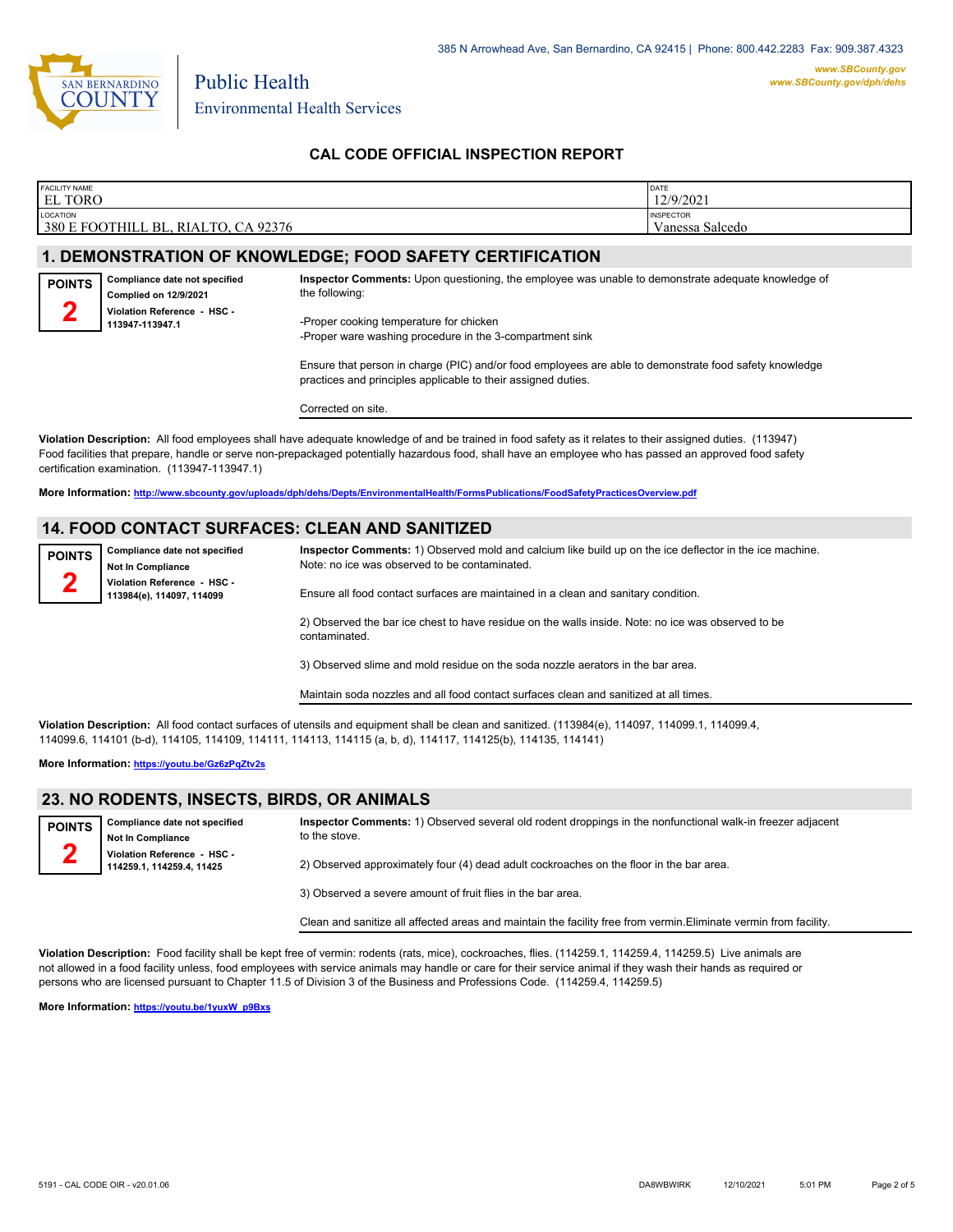

**POINTS 2**

Environmental Health Services

Public Health

**Compliance date not specified Complied on 12/9/2021**

**113947-113947.1**

### **CAL CODE OFFICIAL INSPECTION REPORT**

| <b>FACILITY NAME</b>                                                       | DATE                                |
|----------------------------------------------------------------------------|-------------------------------------|
| <b>EL TORO</b>                                                             | 12/9/2021                           |
| LOCATION<br>3801<br>FOOTHILL BL.<br>CA 92376<br>, RIALTO.<br>$\mathcal{L}$ | <b>INSPECTOR</b><br>Vanessa Salcedo |

# **1. DEMONSTRATION OF KNOWLEDGE; FOOD SAFETY CERTIFICATION**

**Inspector Comments:** Upon questioning, the employee was unable to demonstrate adequate knowledge of the following:

**Violation Reference - HSC -**  -Proper cooking temperature for chicken -Proper ware washing procedure in the 3-compartment sink

> Ensure that person in charge (PIC) and/or food employees are able to demonstrate food safety knowledge practices and principles applicable to their assigned duties.

Corrected on site.

**Violation Description:** All food employees shall have adequate knowledge of and be trained in food safety as it relates to their assigned duties. (113947) Food facilities that prepare, handle or serve non-prepackaged potentially hazardous food, shall have an employee who has passed an approved food safety certification examination. (113947-113947.1)

**More Information: <http://www.sbcounty.gov/uploads/dph/dehs/Depts/EnvironmentalHealth/FormsPublications/FoodSafetyPracticesOverview.pdf>**

#### **14. FOOD CONTACT SURFACES: CLEAN AND SANITIZED**

| <b>POINTS</b><br>$\mathcal{L}$ | Compliance date not specified<br><b>Not In Compliance</b> | Inspector Comments: 1) Observed mold and calcium like build up on the ice deflector in the ice machine.<br>Note: no ice was observed to be contaminated. |
|--------------------------------|-----------------------------------------------------------|----------------------------------------------------------------------------------------------------------------------------------------------------------|
|                                | Violation Reference - HSC -<br>113984(e), 114097, 114099  | Ensure all food contact surfaces are maintained in a clean and sanitary condition.                                                                       |
|                                |                                                           | 2) Observed the bar ice chest to have residue on the walls inside. Note: no ice was observed to be<br>contaminated.                                      |
|                                |                                                           | 3) Observed slime and mold residue on the soda nozzle aerators in the bar area.                                                                          |

Maintain soda nozzles and all food contact surfaces clean and sanitized at all times.

**Violation Description:** All food contact surfaces of utensils and equipment shall be clean and sanitized. (113984(e), 114097, 114099.1, 114099.4, 114099.6, 114101 (b-d), 114105, 114109, 114111, 114113, 114115 (a, b, d), 114117, 114125(b), 114135, 114141)

**More Information: <https://youtu.be/Gz6zPqZtv2s>**

#### **23. NO RODENTS, INSECTS, BIRDS, OR ANIMALS**

| <b>POINTS</b> | Compliance date not specified<br>Not In Compliance       | Inspector Comments: 1) Observed several old rodent droppings in the nonfunctional walk-in freezer adjacent<br>to the stove. |
|---------------|----------------------------------------------------------|-----------------------------------------------------------------------------------------------------------------------------|
|               | Violation Reference - HSC -<br>114259.1, 114259.4, 11425 | 2) Observed approximately four (4) dead adult cockroaches on the floor in the bar area.                                     |

3) Observed a severe amount of fruit flies in the bar area.

Clean and sanitize all affected areas and maintain the facility free from vermin.Eliminate vermin from facility.

**Violation Description:** Food facility shall be kept free of vermin: rodents (rats, mice), cockroaches, flies. (114259.1, 114259.4, 114259.5) Live animals are not allowed in a food facility unless, food employees with service animals may handle or care for their service animal if they wash their hands as required or persons who are licensed pursuant to Chapter 11.5 of Division 3 of the Business and Professions Code. (114259.4, 114259.5)

**More Information: [https://youtu.be/1yuxW\\_p9Bxs](https://youtu.be/1yuxW_p9Bxs)**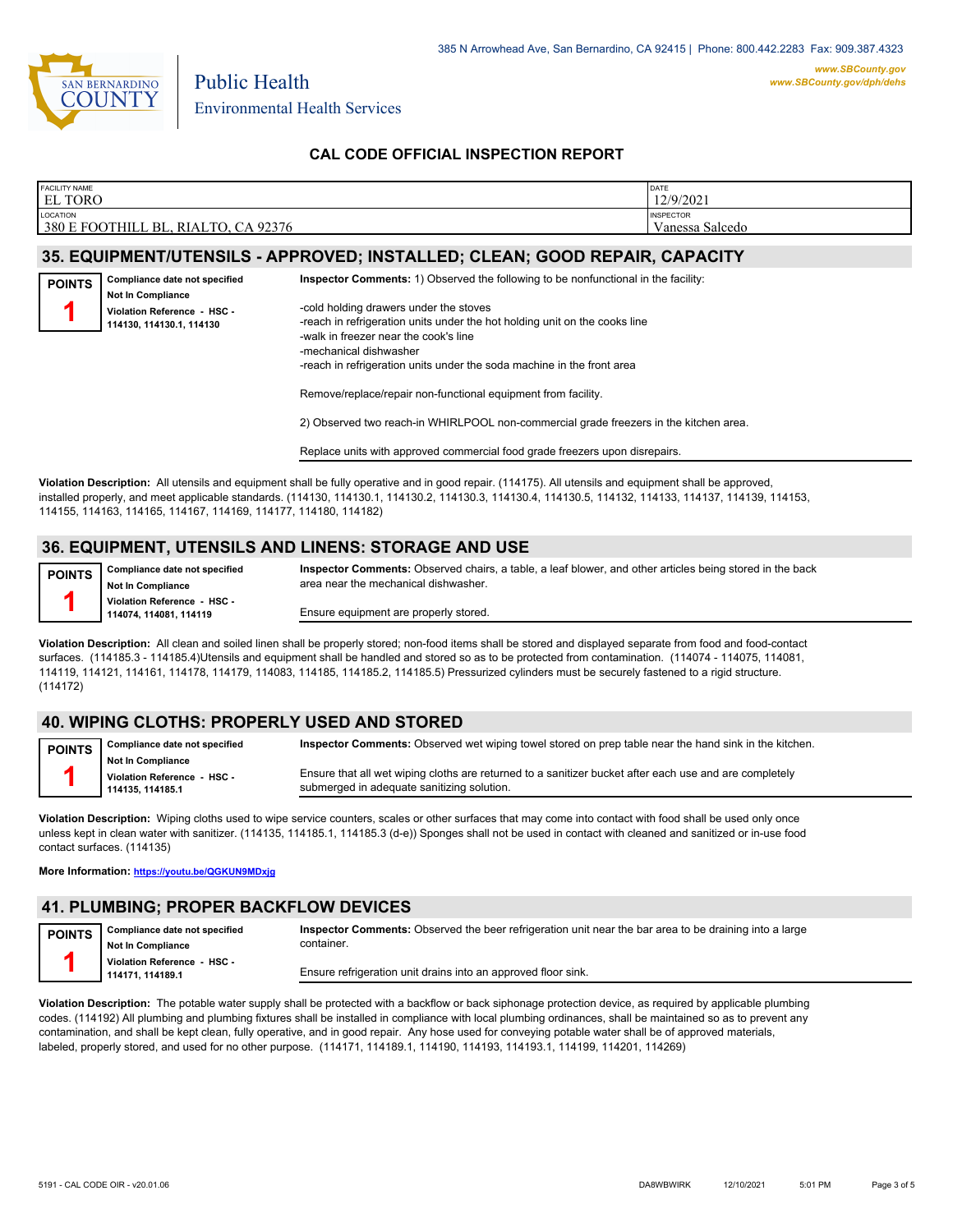

Environmental Health Services

Public Health

### **CAL CODE OFFICIAL INSPECTION REPORT**

| <b>FACILITY NAME</b>                                                    | <b>DATE</b>                         |
|-------------------------------------------------------------------------|-------------------------------------|
| <b>EL TORO</b>                                                          | 12/9/2021                           |
| LOCATION<br>380 E FOOTHILL BL,<br>CA 92376<br>$\top$ TO.<br><b>RIAL</b> | <b>INSPECTOR</b><br>Vanessa Salcedo |

#### **35. EQUIPMENT/UTENSILS - APPROVED; INSTALLED; CLEAN; GOOD REPAIR, CAPACITY**

| <b>POINTS</b> | Compliance date not specified                           |
|---------------|---------------------------------------------------------|
|               | Not In Compliance                                       |
|               | Violation Reference - HSC -<br>114130, 114130.1, 114130 |
|               |                                                         |

-cold holding drawers under the stoves -reach in refrigeration units under the hot holding unit on the cooks line -walk in freezer near the cook's line -mechanical dishwasher -reach in refrigeration units under the soda machine in the front area

**Inspector Comments:** 1) Observed the following to be nonfunctional in the facility:

Remove/replace/repair non-functional equipment from facility.

2) Observed two reach-in WHIRLPOOL non-commercial grade freezers in the kitchen area.

**Inspector Comments:** Observed chairs, a table, a leaf blower, and other articles being stored in the back

Replace units with approved commercial food grade freezers upon disrepairs.

**Violation Description:** All utensils and equipment shall be fully operative and in good repair. (114175). All utensils and equipment shall be approved, installed properly, and meet applicable standards. (114130, 114130.1, 114130.2, 114130.3, 114130.4, 114130.5, 114132, 114133, 114137, 114139, 114153, 114155, 114163, 114165, 114167, 114169, 114177, 114180, 114182)

#### **36. EQUIPMENT, UTENSILS AND LINENS: STORAGE AND USE**

**POINTS**

**1**

**Compliance date not specified**

**Not In Compliance Violation Reference - HSC -** 

**114074, 114081, 114119**

Ensure equipment are properly stored.

area near the mechanical dishwasher.

**Violation Description:** All clean and soiled linen shall be properly stored; non-food items shall be stored and displayed separate from food and food-contact surfaces. (114185.3 - 114185.4)Utensils and equipment shall be handled and stored so as to be protected from contamination. (114074 - 114075, 114081, 114119, 114121, 114161, 114178, 114179, 114083, 114185, 114185.2, 114185.5) Pressurized cylinders must be securely fastened to a rigid structure. (114172)

# **40. WIPING CLOTHS: PROPERLY USED AND STORED**

**Compliance date not specified Not In Compliance Violation Reference - HSC - 114135, 114185.1 POINTS 1 Inspector Comments:** Observed wet wiping towel stored on prep table near the hand sink in the kitchen. Ensure that all wet wiping cloths are returned to a sanitizer bucket after each use and are completely submerged in adequate sanitizing solution.

**Violation Description:** Wiping cloths used to wipe service counters, scales or other surfaces that may come into contact with food shall be used only once unless kept in clean water with sanitizer. (114135, 114185.1, 114185.3 (d-e)) Sponges shall not be used in contact with cleaned and sanitized or in-use food contact surfaces. (114135)

**More Information: <https://youtu.be/QGKUN9MDxjg>**

# **41. PLUMBING; PROPER BACKFLOW DEVICES**

**Compliance date not specified Not In Compliance Violation Reference - HSC - 114171, 114189.1 POINTS 1 Inspector Comments:** Observed the beer refrigeration unit near the bar area to be draining into a large container. Ensure refrigeration unit drains into an approved floor sink.

**Violation Description:** The potable water supply shall be protected with a backflow or back siphonage protection device, as required by applicable plumbing codes. (114192) All plumbing and plumbing fixtures shall be installed in compliance with local plumbing ordinances, shall be maintained so as to prevent any contamination, and shall be kept clean, fully operative, and in good repair. Any hose used for conveying potable water shall be of approved materials, labeled, properly stored, and used for no other purpose. (114171, 114189.1, 114190, 114193, 114193.1, 114199, 114201, 114269)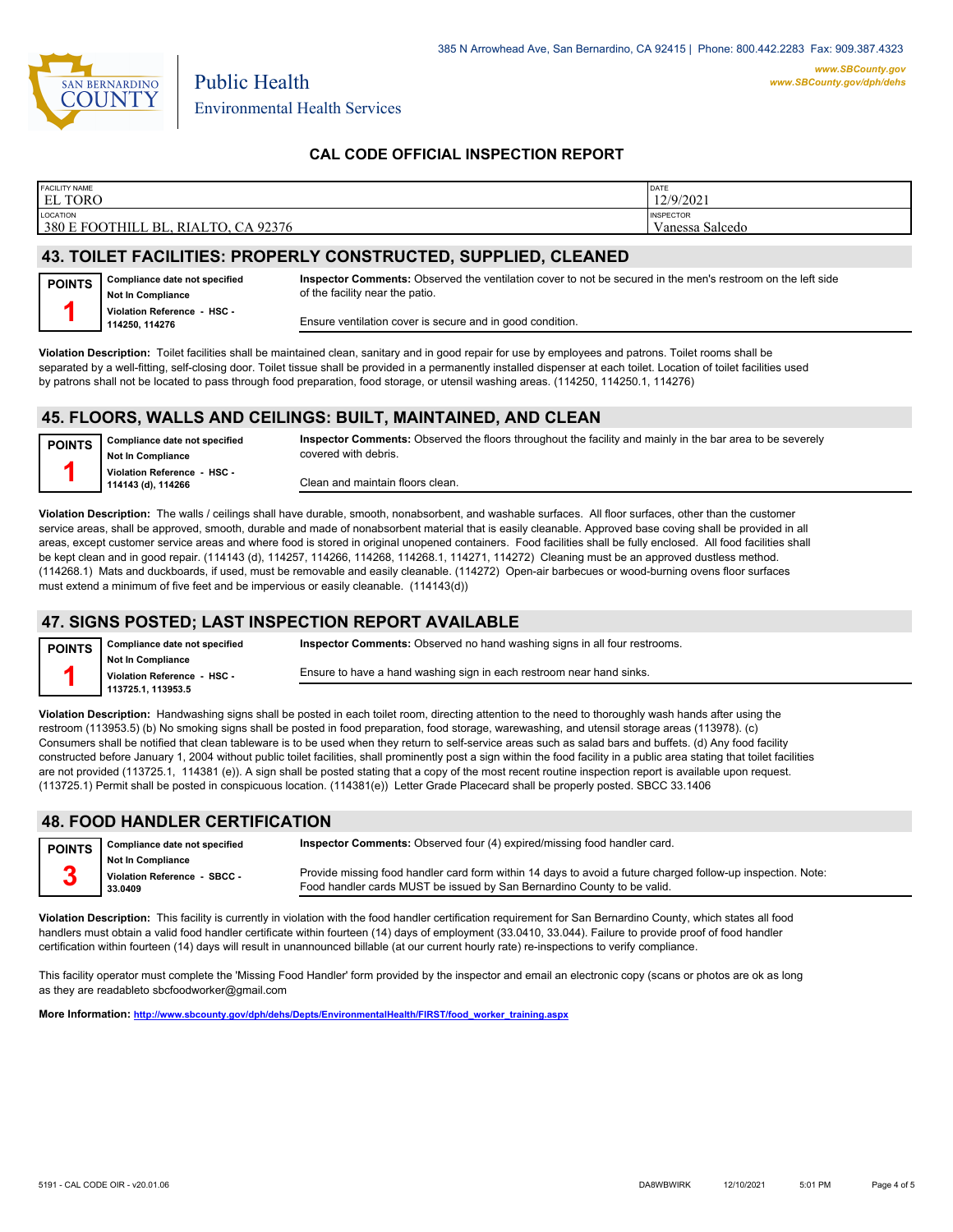

Environmental Health Services

Public Health

# **CAL CODE OFFICIAL INSPECTION REPORT**

| <b>FACILITY NAME</b><br><b>EL TORO</b>               | DATE<br>12/9/2021                   |
|------------------------------------------------------|-------------------------------------|
| LOCATION<br>380 E FOOTHILL BL,<br>, RIALTO, CA 92376 | <b>INSPECTOR</b><br>Vanessa Salcedo |
|                                                      |                                     |

# **43. TOILET FACILITIES: PROPERLY CONSTRUCTED, SUPPLIED, CLEANED**

| <b>POINTS</b> | Compliance date not specified<br><b>Not In Compliance</b> | Inspector Comments: Observed the ventilation cover to not be secured in the men's restroom on the left side<br>of the facility near the patio. |
|---------------|-----------------------------------------------------------|------------------------------------------------------------------------------------------------------------------------------------------------|
|               | Violation Reference - HSC -<br>114250.114276              | Ensure ventilation cover is secure and in good condition.                                                                                      |

**Violation Description:** Toilet facilities shall be maintained clean, sanitary and in good repair for use by employees and patrons. Toilet rooms shall be separated by a well-fitting, self-closing door. Toilet tissue shall be provided in a permanently installed dispenser at each toilet. Location of toilet facilities used by patrons shall not be located to pass through food preparation, food storage, or utensil washing areas. (114250, 114250.1, 114276)

#### **45. FLOORS, WALLS AND CEILINGS: BUILT, MAINTAINED, AND CLEAN**

| <b>POINTS</b> | Compliance date not specified | Inspector Comments: Observed the floors throughout the facility and mainly in the bar area to be severely |
|---------------|-------------------------------|-----------------------------------------------------------------------------------------------------------|
|               | <b>Not In Compliance</b>      | covered with debris.                                                                                      |
|               | Violation Reference - HSC -   |                                                                                                           |
|               | 114143 (d), 114266            | Clean and maintain floors clean.                                                                          |
|               |                               |                                                                                                           |

**Violation Description:** The walls / ceilings shall have durable, smooth, nonabsorbent, and washable surfaces. All floor surfaces, other than the customer service areas, shall be approved, smooth, durable and made of nonabsorbent material that is easily cleanable. Approved base coving shall be provided in all areas, except customer service areas and where food is stored in original unopened containers. Food facilities shall be fully enclosed. All food facilities shall be kept clean and in good repair. (114143 (d), 114257, 114266, 114268, 114268.1, 114271, 114272) Cleaning must be an approved dustless method. (114268.1) Mats and duckboards, if used, must be removable and easily cleanable. (114272) Open-air barbecues or wood-burning ovens floor surfaces must extend a minimum of five feet and be impervious or easily cleanable. (114143(d))

# **47. SIGNS POSTED; LAST INSPECTION REPORT AVAILABLE**

| <b>POINTS</b> | Compliance date not specified | <b>Inspector Comments:</b> Observed no hand washing signs in all four restrooms.                                                                                                                                              |
|---------------|-------------------------------|-------------------------------------------------------------------------------------------------------------------------------------------------------------------------------------------------------------------------------|
|               | Not In Compliance             |                                                                                                                                                                                                                               |
|               | Violation Reference - HSC -   | Ensure to have a hand washing sign in each restroom near hand sinks.                                                                                                                                                          |
|               | 113725.1.113953.5             |                                                                                                                                                                                                                               |
|               |                               | VP (Let ) → ■ ( ) ( Let ) → Hooding about the client to a start the collection of the collection of the collection of the collection of the collection of the collection of the collection of the collection of the collectio |

**Violation Description:** Handwashing signs shall be posted in each toilet room, directing attention to the need to thoroughly wash hands after using the restroom (113953.5) (b) No smoking signs shall be posted in food preparation, food storage, warewashing, and utensil storage areas (113978). (c) Consumers shall be notified that clean tableware is to be used when they return to self-service areas such as salad bars and buffets. (d) Any food facility constructed before January 1, 2004 without public toilet facilities, shall prominently post a sign within the food facility in a public area stating that toilet facilities are not provided (113725.1, 114381 (e)). A sign shall be posted stating that a copy of the most recent routine inspection report is available upon request. (113725.1) Permit shall be posted in conspicuous location. (114381(e)) Letter Grade Placecard shall be properly posted. SBCC 33.1406

#### **48. FOOD HANDLER CERTIFICATION**

| <b>POINTS</b> | Compliance date not specified | <b>Inspector Comments:</b> Observed four (4) expired/missing food handler card.                             |
|---------------|-------------------------------|-------------------------------------------------------------------------------------------------------------|
|               | <b>Not In Compliance</b>      |                                                                                                             |
|               | Violation Reference - SBCC -  | Provide missing food handler card form within 14 days to avoid a future charged follow-up inspection. Note: |
|               | 33.0409                       | Food handler cards MUST be issued by San Bernardino County to be valid.                                     |

**Violation Description:** This facility is currently in violation with the food handler certification requirement for San Bernardino County, which states all food handlers must obtain a valid food handler certificate within fourteen (14) days of employment (33.0410, 33.044). Failure to provide proof of food handler certification within fourteen (14) days will result in unannounced billable (at our current hourly rate) re-inspections to verify compliance.

This facility operator must complete the 'Missing Food Handler' form provided by the inspector and email an electronic copy (scans or photos are ok as long as they are readableto sbcfoodworker@gmail.com

**More Information: [http://www.sbcounty.gov/dph/dehs/Depts/EnvironmentalHealth/FIRST/food\\_worker\\_training.aspx](http://www.sbcounty.gov/dph/dehs/Depts/EnvironmentalHealth/FIRST/food_worker_training.aspx)**